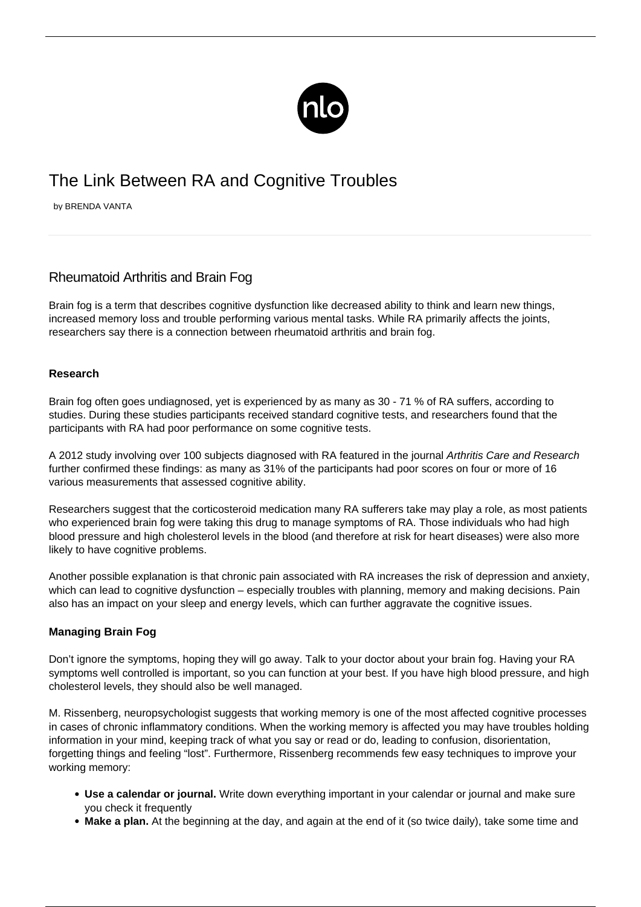

## The Link Between RA and Cognitive Troubles

by BRENDA VANTA

## Rheumatoid Arthritis and Brain Fog

Brain fog is a term that describes cognitive dysfunction like decreased ability to think and learn new things, increased memory loss and trouble performing various mental tasks. While RA primarily affects the joints, researchers say there is a connection between rheumatoid arthritis and brain fog.

## **Research**

Brain fog often goes undiagnosed, yet is experienced by as many as 30 - 71 % of RA suffers, according to studies. During these studies participants received standard cognitive tests, and researchers found that the participants with RA had poor performance on some cognitive tests.

A 2012 study involving over 100 subjects diagnosed with RA featured in the journal Arthritis Care and Research further confirmed these findings: as many as 31% of the participants had poor scores on four or more of 16 various measurements that assessed cognitive ability.

Researchers suggest that the corticosteroid medication many RA sufferers take may play a role, as most patients who experienced brain fog were taking this drug to manage symptoms of RA. Those individuals who had high blood pressure and high cholesterol levels in the blood (and therefore at risk for heart diseases) were also more likely to have cognitive problems.

Another possible explanation is that chronic pain associated with RA increases the risk of depression and anxiety, which can lead to cognitive dysfunction – especially troubles with planning, memory and making decisions. Pain also has an [impact on your sleep](/sleep-better-with-ra/) and energy levels, which can further aggravate the cognitive issues.

## **Managing Brain Fog**

Don't ignore the symptoms, hoping they will go away. Talk to your doctor about your brain fog. Having your RA symptoms well controlled is important, so you can function at your best. If you have high blood pressure, and high cholesterol levels, they should also be well managed.

M. Rissenberg, neuropsychologist suggests that working memory is one of the most affected cognitive processes in cases of chronic inflammatory conditions. When the working memory is affected you may have troubles holding information in your mind, keeping track of what you say or read or do, leading to confusion, disorientation, forgetting things and feeling "lost". Furthermore, Rissenberg recommends few easy techniques to improve your working memory:

- **Use a calendar or journal.** Write down everything important in your calendar or journal and make sure you check it frequently
- **Make a plan.** At the beginning at the day, and again at the end of it (so twice daily), take some time and